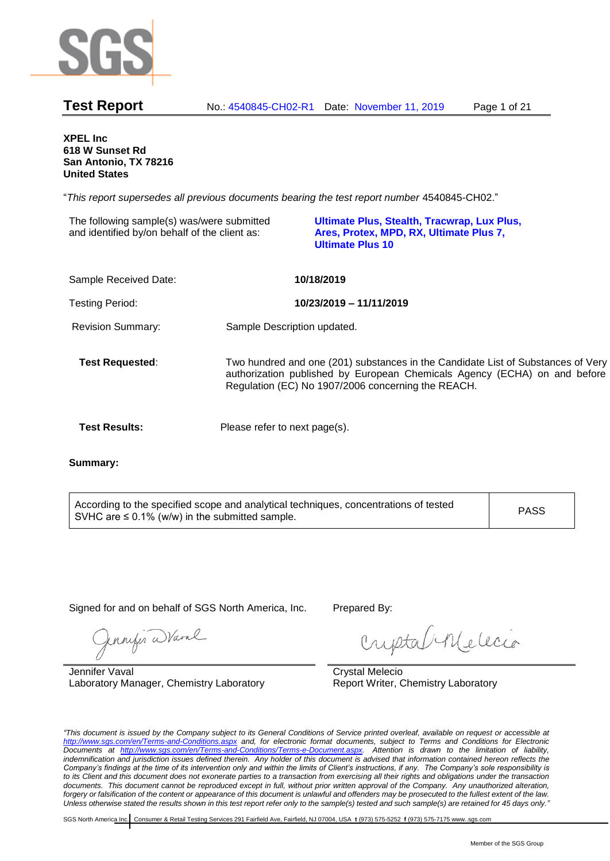

**XPEL Inc 618 W Sunset Rd San Antonio, TX 78216 United States**

"*This report supersedes all previous documents bearing the test report number* 4540845-CH02."

| The following sample(s) was/were submitted<br>and identified by/on behalf of the client as: |                               | Ultimate Plus, Stealth, Tracwrap, Lux Plus,<br>Ares, Protex, MPD, RX, Ultimate Plus 7,<br><b>Ultimate Plus 10</b>                                                                                                   |
|---------------------------------------------------------------------------------------------|-------------------------------|---------------------------------------------------------------------------------------------------------------------------------------------------------------------------------------------------------------------|
| Sample Received Date:                                                                       |                               | 10/18/2019                                                                                                                                                                                                          |
| <b>Testing Period:</b>                                                                      |                               | 10/23/2019 - 11/11/2019                                                                                                                                                                                             |
| <b>Revision Summary:</b>                                                                    | Sample Description updated.   |                                                                                                                                                                                                                     |
| <b>Test Requested:</b>                                                                      |                               | Two hundred and one (201) substances in the Candidate List of Substances of Very<br>authorization published by European Chemicals Agency (ECHA) on and before<br>Regulation (EC) No 1907/2006 concerning the REACH. |
| <b>Test Results:</b>                                                                        | Please refer to next page(s). |                                                                                                                                                                                                                     |
|                                                                                             |                               |                                                                                                                                                                                                                     |

**Summary:**

According to the specified scope and analytical techniques, concentrations of tested  $\lambda$  SVHC are  $\leq$  0.1% (w/w) in the submitted sample.

Signed for and on behalf of SGS North America, Inc. Prepared By:

Jennifer Ward

Jennifer Vaval Laboratory Manager, Chemistry Laboratory

criptabilidecio

Crystal Melecio Report Writer, Chemistry Laboratory

*"This document is issued by the Company subject to its General Conditions of Service printed overleaf, available on request or accessible at <http://www.sgs.com/en/Terms-and-Conditions.aspx> and, for electronic format documents, subject to Terms and Conditions for Electronic Documents at [http://www.sgs.com/en/Terms-and-Conditions/Terms-e-Document.aspx.](http://www.sgs.com/en/Terms-and-Conditions/Terms-e-Document.aspx) Attention is drawn to the limitation of liability,*  indemnification and jurisdiction issues defined therein. Any holder of this document is advised that information contained hereon reflects the *Company's findings at the time of its intervention only and within the limits of Client's instructions, if any. The Company's sole responsibility is to its Client and this document does not exonerate parties to a transaction from exercising all their rights and obligations under the transaction documents. This document cannot be reproduced except in full, without prior written approval of the Company. Any unauthorized alteration, forgery or falsification of the content or appearance of this document is unlawful and offenders may be prosecuted to the fullest extent of the law. Unless otherwise stated the results shown in this test report refer only to the sample(s) tested and such sample(s) are retained for 45 days only."*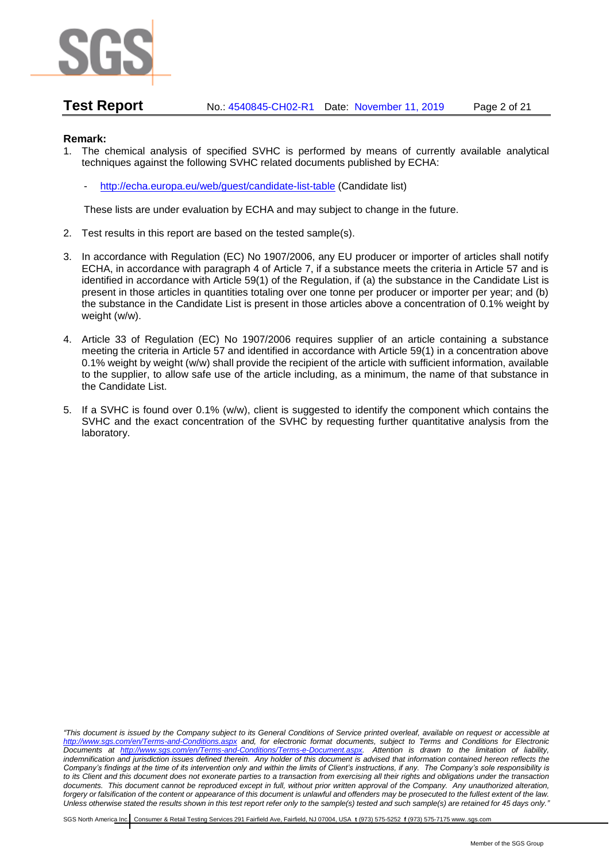

**Test Report** No.: 4540845-CH02-R1 Date: November 11, 2019 Page 2 of 21

# **Remark:**

- 1. The chemical analysis of specified SVHC is performed by means of currently available analytical techniques against the following SVHC related documents published by ECHA:
	- <http://echa.europa.eu/web/guest/candidate-list-table> (Candidate list)

These lists are under evaluation by ECHA and may subject to change in the future.

- 2. Test results in this report are based on the tested sample(s).
- 3. In accordance with Regulation (EC) No 1907/2006, any EU producer or importer of articles shall notify ECHA, in accordance with paragraph 4 of Article 7, if a substance meets the criteria in Article 57 and is identified in accordance with Article 59(1) of the Regulation, if (a) the substance in the Candidate List is present in those articles in quantities totaling over one tonne per producer or importer per year; and (b) the substance in the Candidate List is present in those articles above a concentration of 0.1% weight by weight (w/w).
- 4. Article 33 of Regulation (EC) No 1907/2006 requires supplier of an article containing a substance meeting the criteria in Article 57 and identified in accordance with Article 59(1) in a concentration above 0.1% weight by weight (w/w) shall provide the recipient of the article with sufficient information, available to the supplier, to allow safe use of the article including, as a minimum, the name of that substance in the Candidate List.
- 5. If a SVHC is found over 0.1% (w/w), client is suggested to identify the component which contains the SVHC and the exact concentration of the SVHC by requesting further quantitative analysis from the laboratory.

*"This document is issued by the Company subject to its General Conditions of Service printed overleaf, available on request or accessible at <http://www.sgs.com/en/Terms-and-Conditions.aspx> and, for electronic format documents, subject to Terms and Conditions for Electronic Documents at [http://www.sgs.com/en/Terms-and-Conditions/Terms-e-Document.aspx.](http://www.sgs.com/en/Terms-and-Conditions/Terms-e-Document.aspx) Attention is drawn to the limitation of liability, indemnification and jurisdiction issues defined therein. Any holder of this document is advised that information contained hereon reflects the Company's findings at the time of its intervention only and within the limits of Client's instructions, if any. The Company's sole responsibility is to its Client and this document does not exonerate parties to a transaction from exercising all their rights and obligations under the transaction documents. This document cannot be reproduced except in full, without prior written approval of the Company. Any unauthorized alteration, forgery or falsification of the content or appearance of this document is unlawful and offenders may be prosecuted to the fullest extent of the law. Unless otherwise stated the results shown in this test report refer only to the sample(s) tested and such sample(s) are retained for 45 days only."*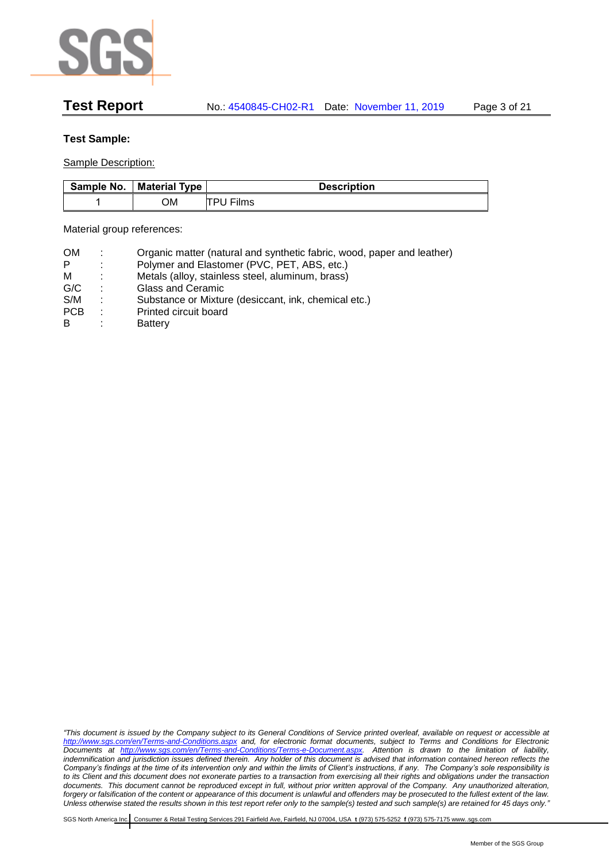

# **Test Sample:**

Sample Description:

| Sample No. | <b>Material Type</b> | <b>Description</b> |
|------------|----------------------|--------------------|
|            | OМ                   | TPU Films          |

Material group references:

| <b>OM</b>  | ÷ | Organic matter (natural and synthetic fabric, wood, paper and leather) |
|------------|---|------------------------------------------------------------------------|
| P          | ÷ | Polymer and Elastomer (PVC, PET, ABS, etc.)                            |
| м          | ÷ | Metals (alloy, stainless steel, aluminum, brass)                       |
| G/C        | ٠ | Glass and Ceramic                                                      |
| S/M        | ÷ | Substance or Mixture (desiccant, ink, chemical etc.)                   |
| <b>PCB</b> | ٠ | Printed circuit board                                                  |
| B          | ٠ | Battery                                                                |

*"This document is issued by the Company subject to its General Conditions of Service printed overleaf, available on request or accessible at <http://www.sgs.com/en/Terms-and-Conditions.aspx> and, for electronic format documents, subject to Terms and Conditions for Electronic Documents at [http://www.sgs.com/en/Terms-and-Conditions/Terms-e-Document.aspx.](http://www.sgs.com/en/Terms-and-Conditions/Terms-e-Document.aspx) Attention is drawn to the limitation of liability,*  indemnification and jurisdiction issues defined therein. Any holder of this document is advised that information contained hereon reflects the *Company's findings at the time of its intervention only and within the limits of Client's instructions, if any. The Company's sole responsibility is to its Client and this document does not exonerate parties to a transaction from exercising all their rights and obligations under the transaction documents. This document cannot be reproduced except in full, without prior written approval of the Company. Any unauthorized alteration, forgery or falsification of the content or appearance of this document is unlawful and offenders may be prosecuted to the fullest extent of the law. Unless otherwise stated the results shown in this test report refer only to the sample(s) tested and such sample(s) are retained for 45 days only."*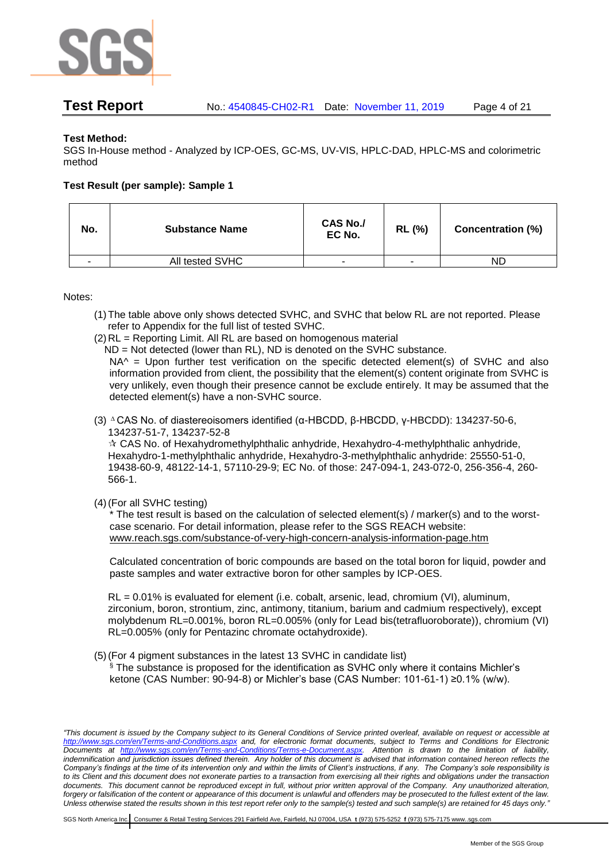

# **Test Method:**

SGS In-House method - Analyzed by ICP-OES, GC-MS, UV-VIS, HPLC-DAD, HPLC-MS and colorimetric method

# **Test Result (per sample): Sample 1**

| No.                      | <b>Substance Name</b> | <b>CAS No./</b><br>EC No. | <b>RL (%)</b> | <b>Concentration (%)</b> |
|--------------------------|-----------------------|---------------------------|---------------|--------------------------|
| $\overline{\phantom{a}}$ | All tested SVHC       | ۰                         | ۰             | ND                       |

Notes:

- (1)The table above only shows detected SVHC, and SVHC that below RL are not reported. Please refer to Appendix for the full list of tested SVHC.
- (2)RL = Reporting Limit. All RL are based on homogenous material
	- ND = Not detected (lower than RL), ND is denoted on the SVHC substance.

NA<sup> $\land$ </sup> = Upon further test verification on the specific detected element(s) of SVHC and also information provided from client, the possibility that the element(s) content originate from SVHC is very unlikely, even though their presence cannot be exclude entirely. It may be assumed that the detected element(s) have a non-SVHC source.

(3) <sup>∆</sup> CAS No. of diastereoisomers identified (α-HBCDD, β-HBCDD, γ-HBCDD): 134237-50-6, 134237-51-7, 134237-52-8

 $\star$  CAS No. of Hexahydromethylphthalic anhydride, Hexahydro-4-methylphthalic anhydride, Hexahydro-1-methylphthalic anhydride, Hexahydro-3-methylphthalic anhydride: 25550-51-0, 19438-60-9, 48122-14-1, 57110-29-9; EC No. of those: 247-094-1, 243-072-0, 256-356-4, 260- 566-1.

(4)(For all SVHC testing)

The test result is based on the calculation of selected element(s)  $/$  marker(s) and to the worstcase scenario. For detail information, please refer to the SGS REACH website: [www.reach.sgs.com/substance-of-very-high-concern-analysis-information-page.htm](http://www.reach.sgs.com/substance-of-very-high-concern-analysis-information-page.htm)

Calculated concentration of boric compounds are based on the total boron for liquid, powder and paste samples and water extractive boron for other samples by ICP-OES.

 $RL = 0.01\%$  is evaluated for element (i.e. cobalt, arsenic, lead, chromium (VI), aluminum, zirconium, boron, strontium, zinc, antimony, titanium, barium and cadmium respectively), except molybdenum RL=0.001%, boron RL=0.005% (only for Lead bis(tetrafluoroborate)), chromium (VI) RL=0.005% (only for Pentazinc chromate octahydroxide).

(5)(For 4 pigment substances in the latest 13 SVHC in candidate list)

§ The substance is proposed for the identification as SVHC only where it contains Michler's ketone (CAS Number: 90-94-8) or Michler's base (CAS Number: 101-61-1) ≥0.1% (w/w).

*"This document is issued by the Company subject to its General Conditions of Service printed overleaf, available on request or accessible at <http://www.sgs.com/en/Terms-and-Conditions.aspx> and, for electronic format documents, subject to Terms and Conditions for Electronic Documents at [http://www.sgs.com/en/Terms-and-Conditions/Terms-e-Document.aspx.](http://www.sgs.com/en/Terms-and-Conditions/Terms-e-Document.aspx) Attention is drawn to the limitation of liability, indemnification and jurisdiction issues defined therein. Any holder of this document is advised that information contained hereon reflects the Company's findings at the time of its intervention only and within the limits of Client's instructions, if any. The Company's sole responsibility is to its Client and this document does not exonerate parties to a transaction from exercising all their rights and obligations under the transaction documents. This document cannot be reproduced except in full, without prior written approval of the Company. Any unauthorized alteration, forgery or falsification of the content or appearance of this document is unlawful and offenders may be prosecuted to the fullest extent of the law. Unless otherwise stated the results shown in this test report refer only to the sample(s) tested and such sample(s) are retained for 45 days only."*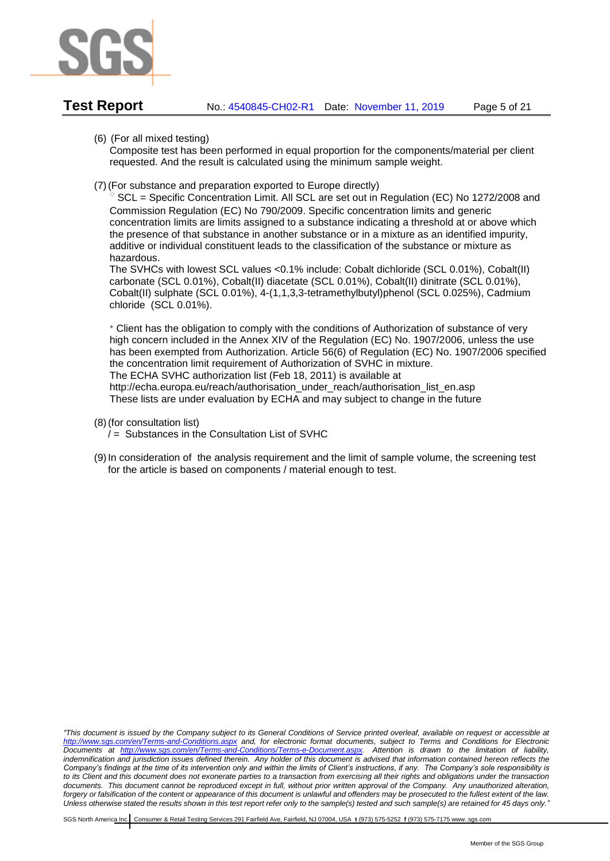

Composite test has been performed in equal proportion for the components/material per client requested. And the result is calculated using the minimum sample weight.

(7)(For substance and preparation exported to Europe directly)

SCL = Specific Concentration Limit. All SCL are set out in Regulation (EC) No 1272/2008 and Commission Regulation (EC) No 790/2009. Specific concentration limits and generic concentration limits are limits assigned to a substance indicating a threshold at or above which the presence of that substance in another substance or in a mixture as an identified impurity, additive or individual constituent leads to the classification of the substance or mixture as hazardous.

The SVHCs with lowest SCL values <0.1% include: Cobalt dichloride (SCL 0.01%), Cobalt(II) carbonate (SCL 0.01%), Cobalt(II) diacetate (SCL 0.01%), Cobalt(II) dinitrate (SCL 0.01%), Cobalt(II) sulphate (SCL 0.01%), 4-(1,1,3,3-tetramethylbutyl)phenol (SCL 0.025%), Cadmium chloride (SCL 0.01%).

<sup>+</sup> Client has the obligation to comply with the conditions of Authorization of substance of very high concern included in the Annex XIV of the Regulation (EC) No. 1907/2006, unless the use has been exempted from Authorization. Article 56(6) of Regulation (EC) No. 1907/2006 specified the concentration limit requirement of Authorization of SVHC in mixture. The ECHA SVHC authorization list (Feb 18, 2011) is available at

http://echa.europa.eu/reach/authorisation\_under\_reach/authorisation\_list\_en.asp These lists are under evaluation by ECHA and may subject to change in the future

- (8)(for consultation list)
	- $\ell$  = Substances in the Consultation List of SVHC
- (9)[In](javascript:void(0);) [consideration](javascript:void(0);) [of](javascript:void(0);) the analysis requirement and the limit of sample volume, the screening test for the article is based on components / material enough to test.

*"This document is issued by the Company subject to its General Conditions of Service printed overleaf, available on request or accessible at <http://www.sgs.com/en/Terms-and-Conditions.aspx> and, for electronic format documents, subject to Terms and Conditions for Electronic Documents at [http://www.sgs.com/en/Terms-and-Conditions/Terms-e-Document.aspx.](http://www.sgs.com/en/Terms-and-Conditions/Terms-e-Document.aspx) Attention is drawn to the limitation of liability,*  indemnification and jurisdiction issues defined therein. Any holder of this document is advised that information contained hereon reflects the *Company's findings at the time of its intervention only and within the limits of Client's instructions, if any. The Company's sole responsibility is to its Client and this document does not exonerate parties to a transaction from exercising all their rights and obligations under the transaction documents. This document cannot be reproduced except in full, without prior written approval of the Company. Any unauthorized alteration, forgery or falsification of the content or appearance of this document is unlawful and offenders may be prosecuted to the fullest extent of the law. Unless otherwise stated the results shown in this test report refer only to the sample(s) tested and such sample(s) are retained for 45 days only."*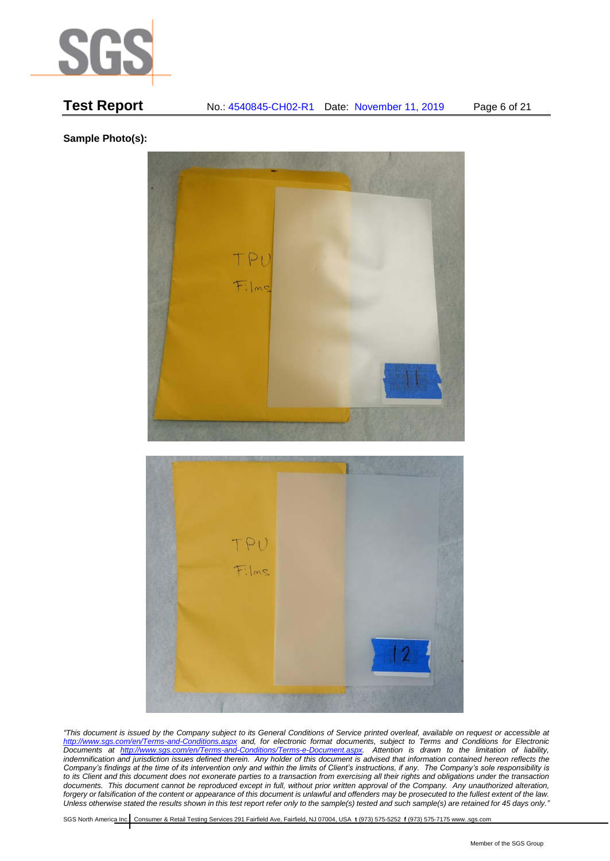

# **Test Report** No.: 4540845-CH02-R1 Date: November 11, 2019 Page 6 of 21

**Sample Photo(s):**



*"This document is issued by the Company subject to its General Conditions of Service printed overleaf, available on request or accessible at <http://www.sgs.com/en/Terms-and-Conditions.aspx> and, for electronic format documents, subject to Terms and Conditions for Electronic Documents at [http://www.sgs.com/en/Terms-and-Conditions/Terms-e-Document.aspx.](http://www.sgs.com/en/Terms-and-Conditions/Terms-e-Document.aspx) Attention is drawn to the limitation of liability,*  indemnification and jurisdiction issues defined therein. Any holder of this document is advised that information contained hereon reflects the *Company's findings at the time of its intervention only and within the limits of Client's instructions, if any. The Company's sole responsibility is to its Client and this document does not exonerate parties to a transaction from exercising all their rights and obligations under the transaction documents. This document cannot be reproduced except in full, without prior written approval of the Company. Any unauthorized alteration, forgery or falsification of the content or appearance of this document is unlawful and offenders may be prosecuted to the fullest extent of the law. Unless otherwise stated the results shown in this test report refer only to the sample(s) tested and such sample(s) are retained for 45 days only."*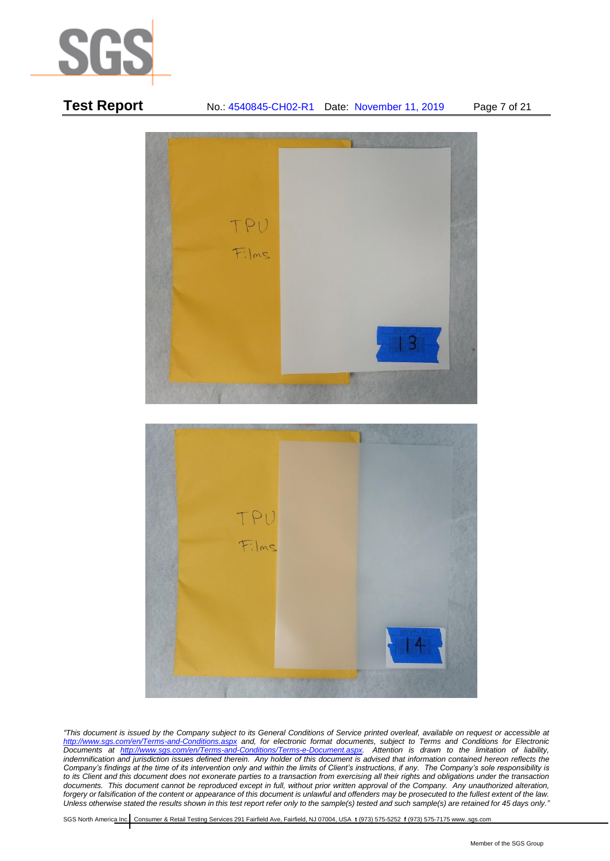

# **Test Report** No.: 4540845-CH02-R1 Date: November 11, 2019 Page 7 of 21 TPU Films TPU  $F:Ims$

*"This document is issued by the Company subject to its General Conditions of Service printed overleaf, available on request or accessible at <http://www.sgs.com/en/Terms-and-Conditions.aspx> and, for electronic format documents, subject to Terms and Conditions for Electronic Documents at [http://www.sgs.com/en/Terms-and-Conditions/Terms-e-Document.aspx.](http://www.sgs.com/en/Terms-and-Conditions/Terms-e-Document.aspx) Attention is drawn to the limitation of liability,*  indemnification and jurisdiction issues defined therein. Any holder of this document is advised that information contained hereon reflects the *Company's findings at the time of its intervention only and within the limits of Client's instructions, if any. The Company's sole responsibility is to its Client and this document does not exonerate parties to a transaction from exercising all their rights and obligations under the transaction documents. This document cannot be reproduced except in full, without prior written approval of the Company. Any unauthorized alteration, forgery or falsification of the content or appearance of this document is unlawful and offenders may be prosecuted to the fullest extent of the law. Unless otherwise stated the results shown in this test report refer only to the sample(s) tested and such sample(s) are retained for 45 days only."*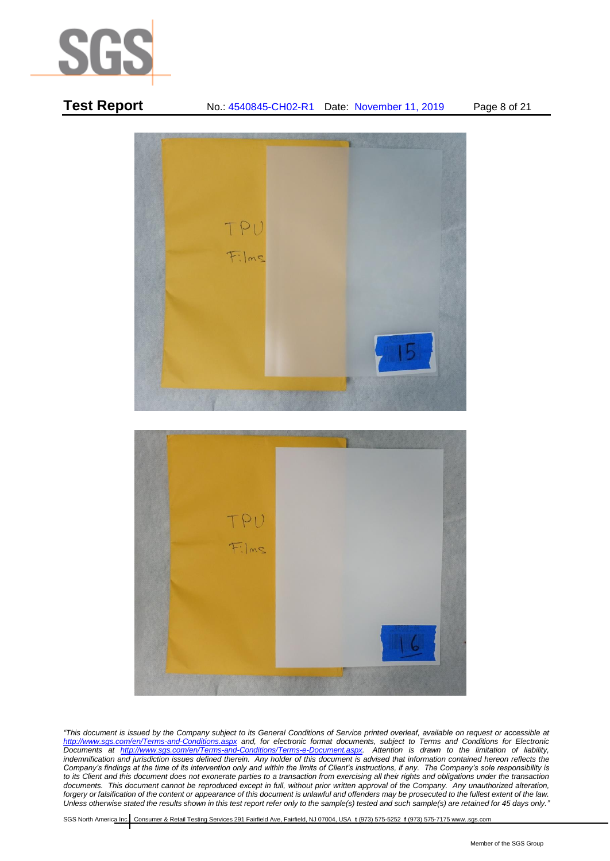



**Test Report** No.: 4540845-CH02-R1 Date: November 11, 2019 Page 8 of 21

*"This document is issued by the Company subject to its General Conditions of Service printed overleaf, available on request or accessible at <http://www.sgs.com/en/Terms-and-Conditions.aspx> and, for electronic format documents, subject to Terms and Conditions for Electronic Documents at [http://www.sgs.com/en/Terms-and-Conditions/Terms-e-Document.aspx.](http://www.sgs.com/en/Terms-and-Conditions/Terms-e-Document.aspx) Attention is drawn to the limitation of liability,*  indemnification and jurisdiction issues defined therein. Any holder of this document is advised that information contained hereon reflects the *Company's findings at the time of its intervention only and within the limits of Client's instructions, if any. The Company's sole responsibility is to its Client and this document does not exonerate parties to a transaction from exercising all their rights and obligations under the transaction documents. This document cannot be reproduced except in full, without prior written approval of the Company. Any unauthorized alteration, forgery or falsification of the content or appearance of this document is unlawful and offenders may be prosecuted to the fullest extent of the law. Unless otherwise stated the results shown in this test report refer only to the sample(s) tested and such sample(s) are retained for 45 days only."*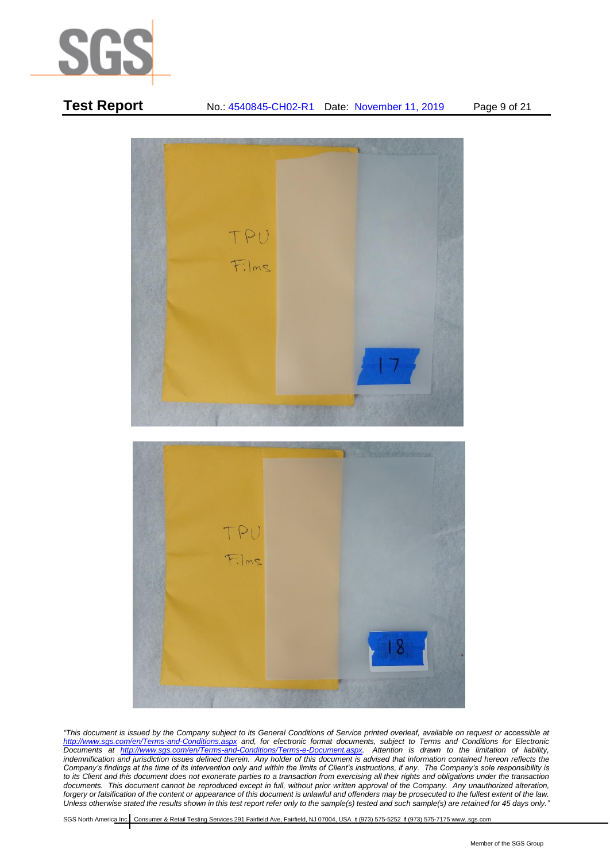

# **Test Report** No.: 4540845-CH02-R1 Date: November 11, 2019 Page 9 of 21



*"This document is issued by the Company subject to its General Conditions of Service printed overleaf, available on request or accessible at <http://www.sgs.com/en/Terms-and-Conditions.aspx> and, for electronic format documents, subject to Terms and Conditions for Electronic Documents at [http://www.sgs.com/en/Terms-and-Conditions/Terms-e-Document.aspx.](http://www.sgs.com/en/Terms-and-Conditions/Terms-e-Document.aspx) Attention is drawn to the limitation of liability,*  indemnification and jurisdiction issues defined therein. Any holder of this document is advised that information contained hereon reflects the *Company's findings at the time of its intervention only and within the limits of Client's instructions, if any. The Company's sole responsibility is to its Client and this document does not exonerate parties to a transaction from exercising all their rights and obligations under the transaction documents. This document cannot be reproduced except in full, without prior written approval of the Company. Any unauthorized alteration, forgery or falsification of the content or appearance of this document is unlawful and offenders may be prosecuted to the fullest extent of the law. Unless otherwise stated the results shown in this test report refer only to the sample(s) tested and such sample(s) are retained for 45 days only."*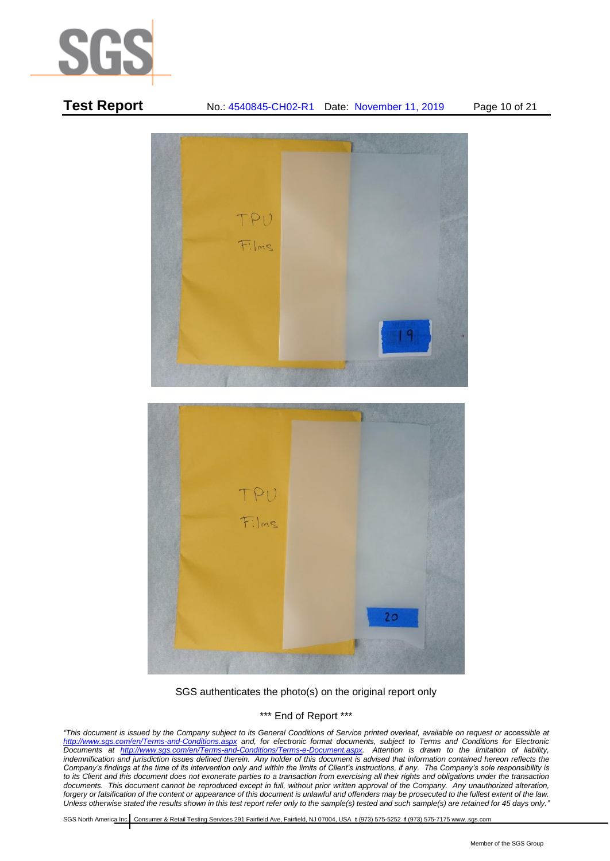

# TPU Films

**Test Report** No.: 4540845-CH02-R1 Date: November 11, 2019 Page 10 of 21



SGS authenticates the photo(s) on the original report only

\*\*\* End of Report \*\*\*

*"This document is issued by the Company subject to its General Conditions of Service printed overleaf, available on request or accessible at <http://www.sgs.com/en/Terms-and-Conditions.aspx> and, for electronic format documents, subject to Terms and Conditions for Electronic Documents at [http://www.sgs.com/en/Terms-and-Conditions/Terms-e-Document.aspx.](http://www.sgs.com/en/Terms-and-Conditions/Terms-e-Document.aspx) Attention is drawn to the limitation of liability,*  indemnification and jurisdiction issues defined therein. Any holder of this document is advised that information contained hereon reflects the *Company's findings at the time of its intervention only and within the limits of Client's instructions, if any. The Company's sole responsibility is to its Client and this document does not exonerate parties to a transaction from exercising all their rights and obligations under the transaction documents. This document cannot be reproduced except in full, without prior written approval of the Company. Any unauthorized alteration, forgery or falsification of the content or appearance of this document is unlawful and offenders may be prosecuted to the fullest extent of the law. Unless otherwise stated the results shown in this test report refer only to the sample(s) tested and such sample(s) are retained for 45 days only."*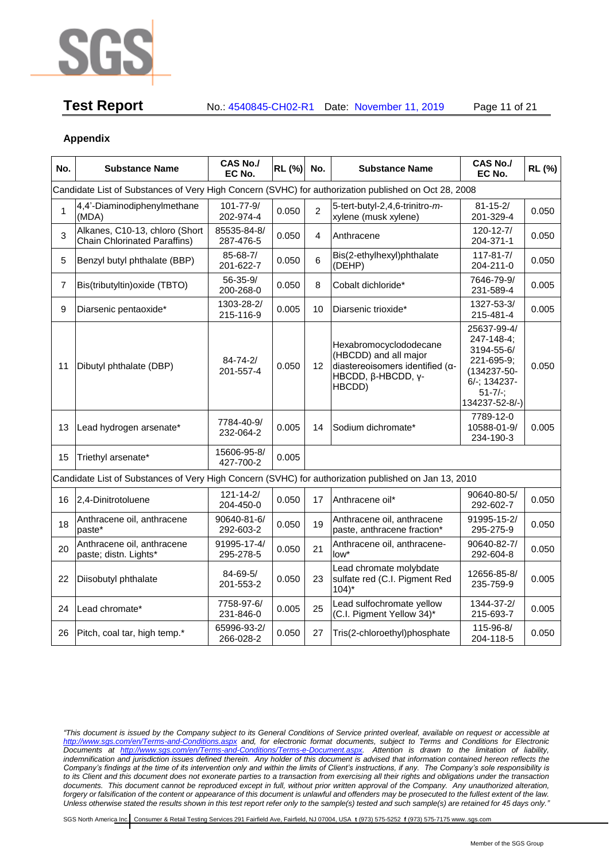

**Test Report** No.: 4540845-CH02-R1 Date: November 11, 2019 Page 11 of 21

# **Appendix**

| No.            | <b>Substance Name</b>                                                                                | CAS No./<br>EC No.           | RL (%) | No.            | <b>Substance Name</b>                                                                                                             | <b>CAS No./</b><br>EC No.                                                                                             | RL (%) |
|----------------|------------------------------------------------------------------------------------------------------|------------------------------|--------|----------------|-----------------------------------------------------------------------------------------------------------------------------------|-----------------------------------------------------------------------------------------------------------------------|--------|
|                | Candidate List of Substances of Very High Concern (SVHC) for authorization published on Oct 28, 2008 |                              |        |                |                                                                                                                                   |                                                                                                                       |        |
| 1              | 4,4'-Diaminodiphenylmethane<br>(MDA)                                                                 | 101-77-9/<br>202-974-4       | 0.050  | $\overline{2}$ | 5-tert-butyl-2,4,6-trinitro-m-<br>xylene (musk xylene)                                                                            | $81 - 15 - 2/$<br>201-329-4                                                                                           | 0.050  |
| 3              | Alkanes, C10-13, chloro (Short<br><b>Chain Chlorinated Paraffins)</b>                                | 85535-84-8/<br>287-476-5     | 0.050  | 4              | Anthracene                                                                                                                        | 120-12-7/<br>204-371-1                                                                                                | 0.050  |
| 5              | Benzyl butyl phthalate (BBP)                                                                         | 85-68-7/<br>201-622-7        | 0.050  | 6              | Bis(2-ethylhexyl)phthalate<br>(DEHP)                                                                                              | $117 - 81 - 7/$<br>204-211-0                                                                                          | 0.050  |
| $\overline{7}$ | Bis(tributyltin) oxide (TBTO)                                                                        | 56-35-9/<br>200-268-0        | 0.050  | 8              | Cobalt dichloride*                                                                                                                | 7646-79-9/<br>231-589-4                                                                                               | 0.005  |
| 9              | Diarsenic pentaoxide*                                                                                | 1303-28-2/<br>215-116-9      | 0.005  | 10             | Diarsenic trioxide*                                                                                                               | 1327-53-3/<br>215-481-4                                                                                               | 0.005  |
| 11             | Dibutyl phthalate (DBP)                                                                              | $84 - 74 - 2/$<br>201-557-4  | 0.050  | 12             | Hexabromocyclododecane<br>(HBCDD) and all major<br>diastereoisomers identified (a-<br>HBCDD, $\beta$ -HBCDD, $\gamma$ -<br>HBCDD) | 25637-99-4/<br>247-148-4;<br>3194-55-6/<br>221-695-9;<br>(134237-50-<br>6/-; 134237-<br>$51 - 7/-;$<br>134237-52-8/-) | 0.050  |
| 13             | Lead hydrogen arsenate*                                                                              | 7784-40-9/<br>232-064-2      | 0.005  | 14             | Sodium dichromate*                                                                                                                | 7789-12-0<br>10588-01-9/<br>234-190-3                                                                                 | 0.005  |
| 15             | Triethyl arsenate*                                                                                   | 15606-95-8/<br>427-700-2     | 0.005  |                |                                                                                                                                   |                                                                                                                       |        |
|                | Candidate List of Substances of Very High Concern (SVHC) for authorization published on Jan 13, 2010 |                              |        |                |                                                                                                                                   |                                                                                                                       |        |
| 16             | 2,4-Dinitrotoluene                                                                                   | $121 - 14 - 2/$<br>204-450-0 | 0.050  | 17             | Anthracene oil*                                                                                                                   | 90640-80-5/<br>292-602-7                                                                                              | 0.050  |
| 18             | Anthracene oil, anthracene<br>paste*                                                                 | 90640-81-6/<br>292-603-2     | 0.050  | 19             | Anthracene oil, anthracene<br>paste, anthracene fraction*                                                                         | 91995-15-2/<br>295-275-9                                                                                              | 0.050  |
| 20             | Anthracene oil, anthracene<br>paste; distn. Lights*                                                  | 91995-17-4/<br>295-278-5     | 0.050  | 21             | Anthracene oil, anthracene-<br>low*                                                                                               | 90640-82-7/<br>292-604-8                                                                                              | 0.050  |
| 22             | Diisobutyl phthalate                                                                                 | 84-69-5/<br>201-553-2        | 0.050  | 23             | Lead chromate molybdate<br>sulfate red (C.I. Pigment Red<br>$104$ <sup>*</sup>                                                    | 12656-85-8/<br>235-759-9                                                                                              | 0.005  |
| 24             | Lead chromate*                                                                                       | 7758-97-6/<br>231-846-0      | 0.005  | 25             | Lead sulfochromate yellow<br>(C.I. Pigment Yellow 34)*                                                                            | 1344-37-2/<br>215-693-7                                                                                               | 0.005  |
| 26             | Pitch, coal tar, high temp.*                                                                         | 65996-93-2/<br>266-028-2     | 0.050  | 27             | Tris(2-chloroethyl)phosphate                                                                                                      | 115-96-8/<br>204-118-5                                                                                                | 0.050  |

*"This document is issued by the Company subject to its General Conditions of Service printed overleaf, available on request or accessible at <http://www.sgs.com/en/Terms-and-Conditions.aspx> and, for electronic format documents, subject to Terms and Conditions for Electronic Documents at [http://www.sgs.com/en/Terms-and-Conditions/Terms-e-Document.aspx.](http://www.sgs.com/en/Terms-and-Conditions/Terms-e-Document.aspx) Attention is drawn to the limitation of liability,*  indemnification and jurisdiction issues defined therein. Any holder of this document is advised that information contained hereon reflects the *Company's findings at the time of its intervention only and within the limits of Client's instructions, if any. The Company's sole responsibility is to its Client and this document does not exonerate parties to a transaction from exercising all their rights and obligations under the transaction documents. This document cannot be reproduced except in full, without prior written approval of the Company. Any unauthorized alteration, forgery or falsification of the content or appearance of this document is unlawful and offenders may be prosecuted to the fullest extent of the law. Unless otherwise stated the results shown in this test report refer only to the sample(s) tested and such sample(s) are retained for 45 days only."*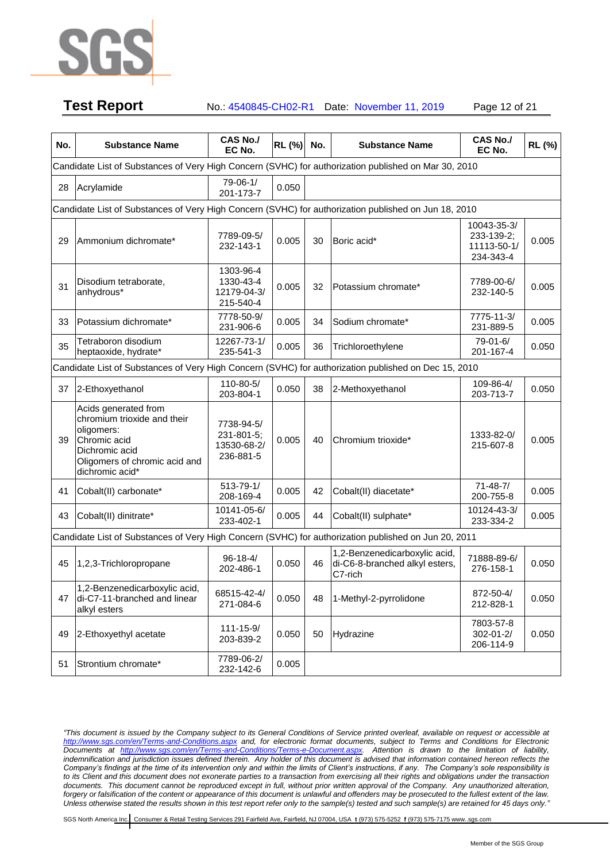

**Test Report** No.: 4540845-CH02-R1 Date: November 11, 2019 Page 12 of 21

| No. | <b>Substance Name</b>                                                                                                                                   | <b>CAS No./</b><br>EC No.                            | RL (%) | No. | <b>Substance Name</b>                                                      | <b>CAS No./</b><br>EC No.                             | RL (%) |  |  |  |
|-----|---------------------------------------------------------------------------------------------------------------------------------------------------------|------------------------------------------------------|--------|-----|----------------------------------------------------------------------------|-------------------------------------------------------|--------|--|--|--|
|     | Candidate List of Substances of Very High Concern (SVHC) for authorization published on Mar 30, 2010                                                    |                                                      |        |     |                                                                            |                                                       |        |  |  |  |
| 28  | Acrylamide                                                                                                                                              | 79-06-1/<br>201-173-7                                | 0.050  |     |                                                                            |                                                       |        |  |  |  |
|     | Candidate List of Substances of Very High Concern (SVHC) for authorization published on Jun 18, 2010                                                    |                                                      |        |     |                                                                            |                                                       |        |  |  |  |
| 29  | Ammonium dichromate*                                                                                                                                    | 7789-09-5/<br>232-143-1                              | 0.005  | 30  | Boric acid*                                                                | 10043-35-3/<br>233-139-2;<br>11113-50-1/<br>234-343-4 | 0.005  |  |  |  |
| 31  | Disodium tetraborate,<br>anhydrous*                                                                                                                     | 1303-96-4<br>1330-43-4<br>12179-04-3/<br>215-540-4   | 0.005  | 32  | Potassium chromate*                                                        | 7789-00-6/<br>232-140-5                               | 0.005  |  |  |  |
| 33  | Potassium dichromate*                                                                                                                                   | 7778-50-9/<br>231-906-6                              | 0.005  | 34  | Sodium chromate*                                                           | 7775-11-3/<br>231-889-5                               | 0.005  |  |  |  |
| 35  | Tetraboron disodium<br>heptaoxide, hydrate*                                                                                                             | 12267-73-1/<br>235-541-3                             | 0.005  | 36  | Trichloroethylene                                                          | 79-01-6/<br>201-167-4                                 | 0.050  |  |  |  |
|     | Candidate List of Substances of Very High Concern (SVHC) for authorization published on Dec 15, 2010                                                    |                                                      |        |     |                                                                            |                                                       |        |  |  |  |
| 37  | 2-Ethoxyethanol                                                                                                                                         | 110-80-5/<br>203-804-1                               | 0.050  | 38  | 2-Methoxyethanol                                                           | 109-86-4/<br>203-713-7                                | 0.050  |  |  |  |
| 39  | Acids generated from<br>chromium trioxide and their<br>oligomers:<br>Chromic acid<br>Dichromic acid<br>Oligomers of chromic acid and<br>dichromic acid* | 7738-94-5/<br>231-801-5;<br>13530-68-2/<br>236-881-5 | 0.005  | 40  | Chromium trioxide*                                                         | 1333-82-0/<br>215-607-8                               | 0.005  |  |  |  |
| 41  | Cobalt(II) carbonate*                                                                                                                                   | 513-79-1/<br>208-169-4                               | 0.005  | 42  | Cobalt(II) diacetate*                                                      | $71 - 48 - 7/$<br>200-755-8                           | 0.005  |  |  |  |
| 43  | Cobalt(II) dinitrate*                                                                                                                                   | 10141-05-6/<br>233-402-1                             | 0.005  | 44  | Cobalt(II) sulphate*                                                       | 10124-43-3/<br>233-334-2                              | 0.005  |  |  |  |
|     | Candidate List of Substances of Very High Concern (SVHC) for authorization published on Jun 20, 2011                                                    |                                                      |        |     |                                                                            |                                                       |        |  |  |  |
| 45  | 1,2,3-Trichloropropane                                                                                                                                  | $96 - 18 - 4/$<br>202-486-1                          | 0.050  | 46  | 1,2-Benzenedicarboxylic acid,<br>di-C6-8-branched alkyl esters,<br>C7-rich | 71888-89-6/<br>276-158-1                              | 0.050  |  |  |  |
| 47  | 1,2-Benzenedicarboxylic acid,<br>di-C7-11-branched and linear<br>alkyl esters                                                                           | 68515-42-4/<br>271-084-6                             | 0.050  | 48  | 1-Methyl-2-pyrrolidone                                                     | 872-50-4/<br>212-828-1                                | 0.050  |  |  |  |
| 49  | 2-Ethoxyethyl acetate                                                                                                                                   | 111-15-9/<br>203-839-2                               | 0.050  | 50  | Hydrazine                                                                  | 7803-57-8<br>$302 - 01 - 2/$<br>206-114-9             | 0.050  |  |  |  |
| 51  | Strontium chromate*                                                                                                                                     | 7789-06-2/<br>232-142-6                              | 0.005  |     |                                                                            |                                                       |        |  |  |  |

*"This document is issued by the Company subject to its General Conditions of Service printed overleaf, available on request or accessible at <http://www.sgs.com/en/Terms-and-Conditions.aspx> and, for electronic format documents, subject to Terms and Conditions for Electronic Documents at [http://www.sgs.com/en/Terms-and-Conditions/Terms-e-Document.aspx.](http://www.sgs.com/en/Terms-and-Conditions/Terms-e-Document.aspx) Attention is drawn to the limitation of liability,*  indemnification and jurisdiction issues defined therein. Any holder of this document is advised that information contained hereon reflects the *Company's findings at the time of its intervention only and within the limits of Client's instructions, if any. The Company's sole responsibility is to its Client and this document does not exonerate parties to a transaction from exercising all their rights and obligations under the transaction documents. This document cannot be reproduced except in full, without prior written approval of the Company. Any unauthorized alteration, forgery or falsification of the content or appearance of this document is unlawful and offenders may be prosecuted to the fullest extent of the law. Unless otherwise stated the results shown in this test report refer only to the sample(s) tested and such sample(s) are retained for 45 days only."*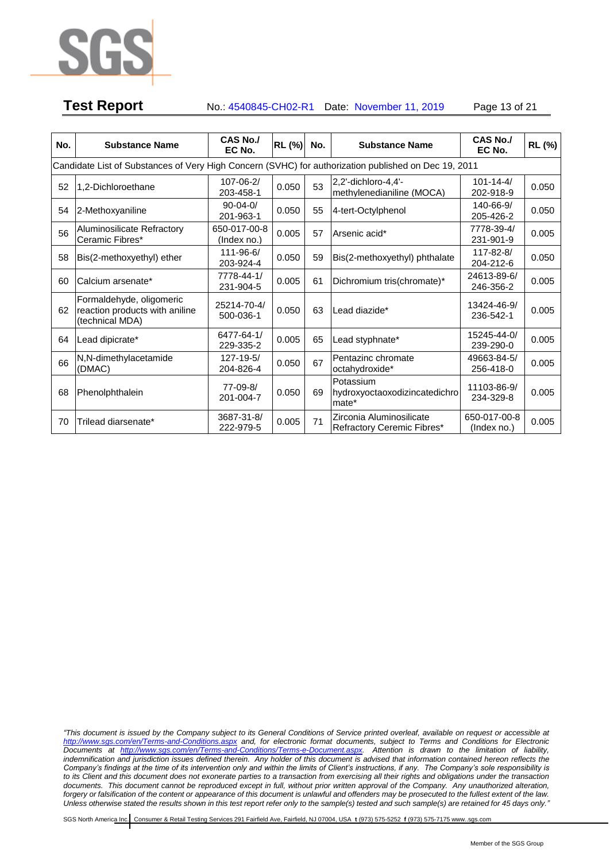

# **Test Report** No.: 4540845-CH02-R1 Date: November 11, 2019 Page 13 of 21

| No. | <b>Substance Name</b>                                                                                | CAS No./<br>EC No.           | RL (%) | No. | <b>Substance Name</b>                                  | CAS No./<br>EC No.                | RL (%) |  |  |  |  |
|-----|------------------------------------------------------------------------------------------------------|------------------------------|--------|-----|--------------------------------------------------------|-----------------------------------|--------|--|--|--|--|
|     | Candidate List of Substances of Very High Concern (SVHC) for authorization published on Dec 19, 2011 |                              |        |     |                                                        |                                   |        |  |  |  |  |
| 52  | 1.2-Dichloroethane                                                                                   | 107-06-2/<br>203-458-1       | 0.050  | 53  | 2.2'-dichloro-4.4'-<br>methylenedianiline (MOCA)       | $101 - 14 - 4/$<br>202-918-9      | 0.050  |  |  |  |  |
| 54  | 2-Methoxyaniline                                                                                     | $90-04-0/$<br>201-963-1      | 0.050  | 55  | 4-tert-Octylphenol                                     | 140-66-9/<br>205-426-2            | 0.050  |  |  |  |  |
| 56  | Aluminosilicate Refractory<br>Ceramic Fibres*                                                        | 650-017-00-8<br>(Index no.)  | 0.005  | 57  | Arsenic acid*                                          | 7778-39-4/<br>231-901-9           | 0.005  |  |  |  |  |
| 58  | Bis(2-methoxyethyl) ether                                                                            | $111 - 96 - 6/$<br>203-924-4 | 0.050  | 59  | Bis(2-methoxyethyl) phthalate                          | 117-82-8/<br>204-212-6            | 0.050  |  |  |  |  |
| 60  | Calcium arsenate*                                                                                    | 7778-44-1/<br>231-904-5      | 0.005  | 61  | Dichromium tris(chromate)*                             | 24613-89-6/<br>246-356-2          | 0.005  |  |  |  |  |
| 62  | Formaldehyde, oligomeric<br>reaction products with aniline<br>(technical MDA)                        | 25214-70-4/<br>500-036-1     | 0.050  | 63  | Lead diazide*                                          | 13424-46-9/<br>236-542-1          | 0.005  |  |  |  |  |
| 64  | ead dipicrate*                                                                                       | 6477-64-1/<br>229-335-2      | 0.005  | 65  | Lead styphnate*                                        | 15245-44-0/<br>239-290-0          | 0.005  |  |  |  |  |
| 66  | N,N-dimethylacetamide<br>(DMAC)                                                                      | $127 - 19 - 5/$<br>204-826-4 | 0.050  | 67  | Pentazinc chromate<br>octahydroxide*                   | 49663-84-5/<br>256-418-0          | 0.005  |  |  |  |  |
| 68  | Phenolphthalein                                                                                      | 77-09-8/<br>201-004-7        | 0.050  | 69  | Potassium<br>hydroxyoctaoxodizincatedichro<br>mate*    | 11103-86-9/<br>234-329-8          | 0.005  |  |  |  |  |
| 70  | Trilead diarsenate*                                                                                  | 3687-31-8/<br>222-979-5      | 0.005  | 71  | Zirconia Aluminosilicate<br>Refractory Ceremic Fibres* | 650-017-00-8<br>$($ Index no. $)$ | 0.005  |  |  |  |  |

*"This document is issued by the Company subject to its General Conditions of Service printed overleaf, available on request or accessible at <http://www.sgs.com/en/Terms-and-Conditions.aspx> and, for electronic format documents, subject to Terms and Conditions for Electronic Documents at [http://www.sgs.com/en/Terms-and-Conditions/Terms-e-Document.aspx.](http://www.sgs.com/en/Terms-and-Conditions/Terms-e-Document.aspx) Attention is drawn to the limitation of liability,*  indemnification and jurisdiction issues defined therein. Any holder of this document is advised that information contained hereon reflects the *Company's findings at the time of its intervention only and within the limits of Client's instructions, if any. The Company's sole responsibility is to its Client and this document does not exonerate parties to a transaction from exercising all their rights and obligations under the transaction documents. This document cannot be reproduced except in full, without prior written approval of the Company. Any unauthorized alteration, forgery or falsification of the content or appearance of this document is unlawful and offenders may be prosecuted to the fullest extent of the law. Unless otherwise stated the results shown in this test report refer only to the sample(s) tested and such sample(s) are retained for 45 days only."*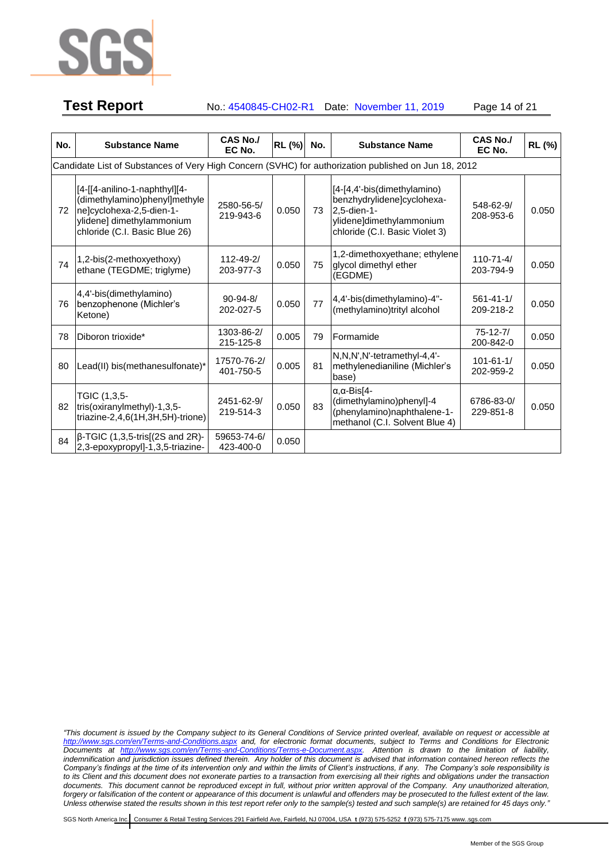

# **Test Report** No.: 4540845-CH02-R1 Date: November 11, 2019 Page 14 of 21

**No. Substance Name CAS No./ EC No. RL (%) No. Substance Name CAS No./ EC No. RL (%)** Candidate List of Substances of Very High Concern (SVHC) for authorization published on Jun 18, 2012 72 [4-[[4-anilino-1-naphthyl][4- (dimethylamino)phenyl]methyle ne]cyclohexa-2,5-dien-1 ylidene] dimethylammonium chloride (C.I. Basic Blue 26) 2580-56-5/ 219-943-6 0.050 73 [4-[4,4'-bis(dimethylamino) benzhydrylidene]cyclohexa-2,5-dien-1 ylidene]dimethylammonium chloride (C.I. Basic Violet 3) 548-62-9/ 208-953-6 0.050  $74$  | 1,2-bis(2-methoxyethoxy) ethane (TEGDME; triglyme) 112-49-2/ 203-977-3 0.050 75 1,2-dimethoxyethane; ethylene glycol dimethyl ether (EGDME) 110-71-4/ 203-794-9 0.050 76 4,4'-bis(dimethylamino) benzophenone (Michler's Ketone) 90-94-8/ 202-027-5 0.050 77 4,4'-bis(dimethylamino)-4"-(methylamino)trityl alcohol 561-41-1/ 209-218-2 0.050 <sup>78</sup> Diboron trioxide\* 1303-86-2/ 215-125-8 0.005 79 Formamide 75-12-7/ 200-842-0 0.050  $80$  Lead(II) bis(methanesulfonate)\* 17570-76-2/ 401-750-5  $0.005$  81 N,N,N',N'-tetramethyl-4,4' methylenedianiline (Michler's base) 101-61-1/ 202-959-2 0.050 82 TGIC (1,3,5 tris(oxiranylmethyl)-1,3,5 triazine-2,4,6(1H,3H,5H)-trione) 2451-62-9/ 219-514-3 0.050 83 α,α-Bis[4- (dimethylamino)phenyl]-4 (phenylamino)naphthalene-1 methanol (C.I. Solvent Blue 4) 6786-83-0/ 229-851-8 0.050  $84$  β-TGIC (1,3,5-tris[(2S and 2R)-2,3-epoxypropyl]-1,3,5-triazine-59653-74-6/ 423-400-0 0.050

*"This document is issued by the Company subject to its General Conditions of Service printed overleaf, available on request or accessible at <http://www.sgs.com/en/Terms-and-Conditions.aspx> and, for electronic format documents, subject to Terms and Conditions for Electronic Documents at [http://www.sgs.com/en/Terms-and-Conditions/Terms-e-Document.aspx.](http://www.sgs.com/en/Terms-and-Conditions/Terms-e-Document.aspx) Attention is drawn to the limitation of liability,*  indemnification and jurisdiction issues defined therein. Any holder of this document is advised that information contained hereon reflects the *Company's findings at the time of its intervention only and within the limits of Client's instructions, if any. The Company's sole responsibility is to its Client and this document does not exonerate parties to a transaction from exercising all their rights and obligations under the transaction documents. This document cannot be reproduced except in full, without prior written approval of the Company. Any unauthorized alteration, forgery or falsification of the content or appearance of this document is unlawful and offenders may be prosecuted to the fullest extent of the law. Unless otherwise stated the results shown in this test report refer only to the sample(s) tested and such sample(s) are retained for 45 days only."*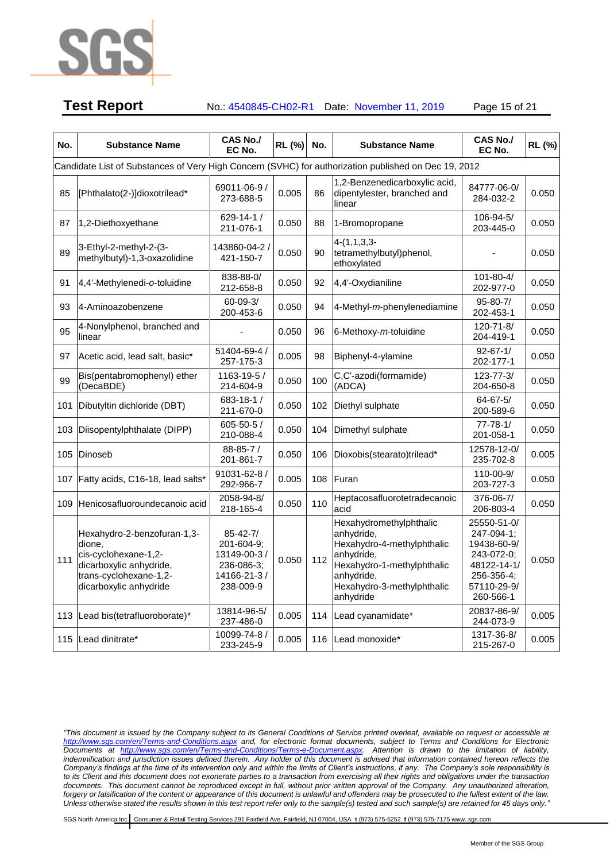

**Test Report** No.: 4540845-CH02-R1 Date: November 11, 2019 Page 15 of 21

| No. | <b>Substance Name</b>                                                                                                                        | <b>CAS No./</b><br>EC No.                                                             | <b>RL (%)</b> | No. | <b>Substance Name</b>                                                                                                                                                    | <b>CAS No./</b><br>EC No.                                                                                       | RL (%) |
|-----|----------------------------------------------------------------------------------------------------------------------------------------------|---------------------------------------------------------------------------------------|---------------|-----|--------------------------------------------------------------------------------------------------------------------------------------------------------------------------|-----------------------------------------------------------------------------------------------------------------|--------|
|     | Candidate List of Substances of Very High Concern (SVHC) for authorization published on Dec 19, 2012                                         |                                                                                       |               |     |                                                                                                                                                                          |                                                                                                                 |        |
| 85  | [Phthalato(2-)]dioxotrilead*                                                                                                                 | 69011-06-9 /<br>273-688-5                                                             | 0.005         | 86  | 1,2-Benzenedicarboxylic acid,<br>dipentylester, branched and<br>linear                                                                                                   | 84777-06-0/<br>284-032-2                                                                                        | 0.050  |
| 87  | 1,2-Diethoxyethane                                                                                                                           | $629 - 14 - 1/$<br>211-076-1                                                          | 0.050         | 88  | 1-Bromopropane                                                                                                                                                           | 106-94-5/<br>203-445-0                                                                                          | 0.050  |
| 89  | 3-Ethyl-2-methyl-2-(3-<br>methylbutyl)-1,3-oxazolidine                                                                                       | 143860-04-2<br>421-150-7                                                              | 0.050         | 90  | $4-(1,1,3,3-$<br>tetramethylbutyl)phenol,<br>ethoxylated                                                                                                                 |                                                                                                                 | 0.050  |
| 91  | 4,4'-Methylenedi-o-toluidine                                                                                                                 | 838-88-0/<br>212-658-8                                                                | 0.050         | 92  | 4,4'-Oxydianiline                                                                                                                                                        | $101 - 80 - 4/$<br>202-977-0                                                                                    | 0.050  |
| 93  | 4-Aminoazobenzene                                                                                                                            | $60 - 09 - 3/$<br>200-453-6                                                           | 0.050         | 94  | 4-Methyl-m-phenylenediamine                                                                                                                                              | $95 - 80 - 7/$<br>202-453-1                                                                                     | 0.050  |
| 95  | 4-Nonylphenol, branched and<br>linear                                                                                                        |                                                                                       | 0.050         | 96  | 6-Methoxy-m-toluidine                                                                                                                                                    | 120-71-8/<br>204-419-1                                                                                          | 0.050  |
| 97  | Acetic acid, lead salt, basic*                                                                                                               | 51404-69-4 /<br>257-175-3                                                             | 0.005         | 98  | Biphenyl-4-ylamine                                                                                                                                                       | $92 - 67 - 1/$<br>202-177-1                                                                                     | 0.050  |
| 99  | Bis(pentabromophenyl) ether<br>(DecaBDE)                                                                                                     | 1163-19-5 /<br>214-604-9                                                              | 0.050         | 100 | C,C'-azodi(formamide)<br>(ADCA)                                                                                                                                          | $123 - 77 - 3/$<br>204-650-8                                                                                    | 0.050  |
| 101 | Dibutyltin dichloride (DBT)                                                                                                                  | 683-18-1/<br>211-670-0                                                                | 0.050         | 102 | Diethyl sulphate                                                                                                                                                         | $64 - 67 - 5/$<br>200-589-6                                                                                     | 0.050  |
| 103 | Diisopentylphthalate (DIPP)                                                                                                                  | $605 - 50 - 5/$<br>210-088-4                                                          | 0.050         | 104 | Dimethyl sulphate                                                                                                                                                        | $77 - 78 - 1/$<br>201-058-1                                                                                     | 0.050  |
| 105 | Dinoseb                                                                                                                                      | 88-85-7/<br>201-861-7                                                                 | 0.050         | 106 | Dioxobis(stearato)trilead*                                                                                                                                               | 12578-12-0/<br>235-702-8                                                                                        | 0.005  |
| 107 | Fatty acids, C16-18, lead salts*                                                                                                             | 91031-62-8 /<br>292-966-7                                                             | 0.005         | 108 | Furan                                                                                                                                                                    | 110-00-9/<br>203-727-3                                                                                          | 0.050  |
| 109 | Henicosafluoroundecanoic acid                                                                                                                | 2058-94-8/<br>218-165-4                                                               | 0.050         | 110 | Heptacosafluorotetradecanoic<br>acid                                                                                                                                     | 376-06-7/<br>206-803-4                                                                                          | 0.050  |
| 111 | Hexahydro-2-benzofuran-1,3-<br>dione,<br>cis-cyclohexane-1,2-<br>dicarboxylic anhydride,<br>trans-cyclohexane-1,2-<br>dicarboxylic anhydride | $85 - 42 - 7/$<br>201-604-9;<br>13149-00-3/<br>236-086-3;<br>14166-21-3/<br>238-009-9 | 0.050         | 112 | Hexahydromethylphthalic<br>anhydride,<br>Hexahydro-4-methylphthalic<br>anhydride,<br>Hexahydro-1-methylphthalic<br>anhydride,<br>Hexahydro-3-methylphthalic<br>anhydride | 25550-51-0/<br>247-094-1:<br>19438-60-9/<br>243-072-0;<br>48122-14-1/<br>256-356-4;<br>57110-29-9/<br>260-566-1 | 0.050  |
| 113 | Lead bis(tetrafluoroborate)*                                                                                                                 | 13814-96-5/<br>237-486-0                                                              | 0.005         |     | 114 Lead cyanamidate*                                                                                                                                                    | 20837-86-9/<br>244-073-9                                                                                        | 0.005  |
|     | 115 Lead dinitrate*                                                                                                                          | 10099-74-8 /<br>233-245-9                                                             | 0.005         |     | 116 Lead monoxide*                                                                                                                                                       | 1317-36-8/<br>215-267-0                                                                                         | 0.005  |

*"This document is issued by the Company subject to its General Conditions of Service printed overleaf, available on request or accessible at <http://www.sgs.com/en/Terms-and-Conditions.aspx> and, for electronic format documents, subject to Terms and Conditions for Electronic Documents at [http://www.sgs.com/en/Terms-and-Conditions/Terms-e-Document.aspx.](http://www.sgs.com/en/Terms-and-Conditions/Terms-e-Document.aspx) Attention is drawn to the limitation of liability,*  indemnification and jurisdiction issues defined therein. Any holder of this document is advised that information contained hereon reflects the *Company's findings at the time of its intervention only and within the limits of Client's instructions, if any. The Company's sole responsibility is to its Client and this document does not exonerate parties to a transaction from exercising all their rights and obligations under the transaction documents. This document cannot be reproduced except in full, without prior written approval of the Company. Any unauthorized alteration, forgery or falsification of the content or appearance of this document is unlawful and offenders may be prosecuted to the fullest extent of the law. Unless otherwise stated the results shown in this test report refer only to the sample(s) tested and such sample(s) are retained for 45 days only."*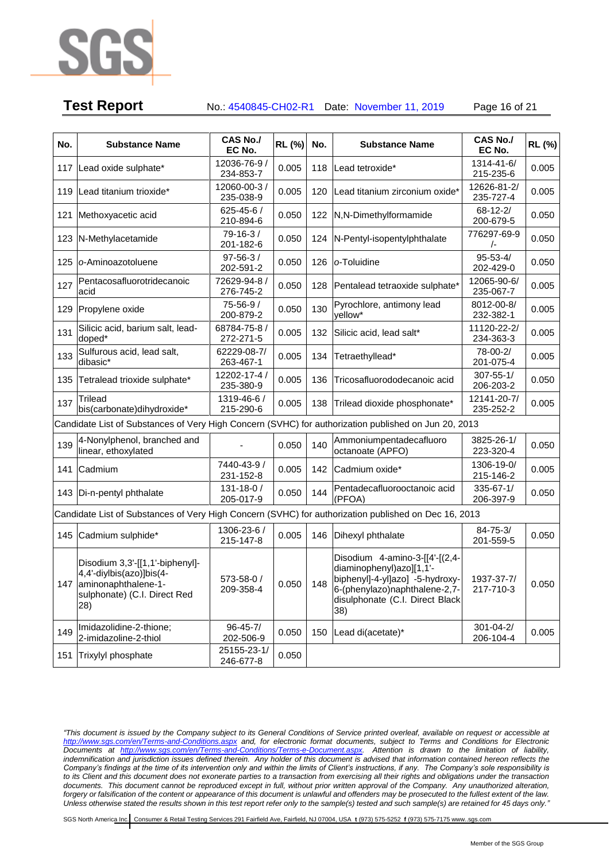

# **Test Report** No.: 4540845-CH02-R1 Date: November 11, 2019 Page 16 of 21

**No. Substance Name CAS No./ EC No. RL (%) No. Substance Name CAS No./ EC No. RL (%)** 117 Lead oxide sulphate\* 12036-76-9 / 234-853-7 0.005 118 Lead tetroxide\* 1314-41-6/ 215-235-6 0.005 <sup>119</sup> Lead titanium trioxide\* 12060-00-3 / 235-038-9  $0.005$  120 Lead titanium zirconium oxide\* 12626-81-2 235-727-4 0.005 121 Methoxyacetic acid 625-45-6 210-894-6  $0.050$  122 N,N-Dimethylformamide 68-12-2/ 200-679-5 0.050 <sup>123</sup> N-Methylacetamide 79-16-3 / 201-182-6  $0.050$  124 N-Pentyl-isopentylphthalate 776297-69-9 /- 0.050 <sup>125</sup> *<sup>o</sup>*-Aminoazotoluene 97-56-3 / 202-591-2 0.050 <sup>126</sup> *<sup>o</sup>*-Toluidine 95-53-4/ 202-429-0 0.050 127 Pentacosafluorotridecanoic acid 72629-94-8 / 276-745-2  $0.050$  128 Pentalead tetraoxide sulphate\* 12065-90-6/ 235-067-7 0.005 129 Propylene oxide 75-56-9 200-879-2  $0.050$  130 Pyrochlore, antimony lead yellow\* 8012-00-8/ 232-382-1 0.005 131 Silicic acid, barium salt, leaddoped\* 68784-75-8 / 272-271-5  $0.005$  132 Silicic acid, lead salt\* 11120-22-2 234-363-3 0.005 133 Sulfurous acid, lead salt, dibasic\* 62229-08-7/ 263-467-1 0.005 134 Tetraethyllead\* 78-00-2/ 201-075-4 0.005 <sup>135</sup> Tetralead trioxide sulphate\* 12202-17-4 / 235-380-9  $0.005$  136 Tricosafluorododecanoic acid  $307-55-1/$ 206-203-2 0.050 137  $\boxed{\text{Trilead}}$ bis(carbonate)dihydroxide\* 1319-46-6 / 215-290-6  $0.005$  138 Trilead dioxide phosphonate\* 12141-20-7/ 235-252-2 0.005 Candidate List of Substances of Very High Concern (SVHC) for authorization published on Jun 20, 2013 139 4-Nonylphenol, branched and <br>linear, ethoxylated and 139 0.050 140  $\left| \begin{array}{c} \text{Mmmonium} \\ \text{of the total} \\ \text{of the total} \end{array} \right|$ octanoate (APFO) 3825-26-1/ 223-320-4 0.050 141 Cadmium 7440-43-9 231-152-8 0.005 | 142 Cadmium oxide\* 1306-19-0/ 215-146-2 0.005 143 Di-n-pentyl phthalate 131-18-0 / 205-017-9  $0.050$  144 Pentadecafluorooctanoic acid (PFOA) 335-67-1/ 206-397-9 0.050 Candidate List of Substances of Very High Concern (SVHC) for authorization published on Dec 16, 2013 145 Cadmium sulphide\* 1306-23-6 / 215-147-8  $0.005$  146 Dihexyl phthalate  $\begin{array}{|c|c|c|c|c|c|c|c|c|} \hline 84-75-3/\ \hline \end{array}$ 201-559-5 0.050 147 aminonaphthalene-1- Disodium 3,3'-[[1,1'-biphenyl]- 4,4'-diylbis(azo)]bis(4 sulphonate) (C.I. Direct Red 28) 573-58-0 / 209-358-4 0.050 148 Disodium 4-amino-3-[[4'-[(2,4 diaminophenyl)azo][1,1' biphenyl]-4-yl]azo] -5-hydroxy-6-(phenylazo)naphthalene-2,7 disulphonate (C.I. Direct Black 38) 1937-37-7/ 217-710-3 0.050 149 Imidazolidine-2-thione; 2-imidazoline-2-thiol 96-45-7/ 202-506-9 0.050 150 Lead di(acetate)\* 301-04-2/ 206-104-4 0.005 <sup>151</sup> Trixylyl phosphate 25155-23-1/ 246-677-8 0.050

*"This document is issued by the Company subject to its General Conditions of Service printed overleaf, available on request or accessible at <http://www.sgs.com/en/Terms-and-Conditions.aspx> and, for electronic format documents, subject to Terms and Conditions for Electronic Documents at [http://www.sgs.com/en/Terms-and-Conditions/Terms-e-Document.aspx.](http://www.sgs.com/en/Terms-and-Conditions/Terms-e-Document.aspx) Attention is drawn to the limitation of liability,*  indemnification and jurisdiction issues defined therein. Any holder of this document is advised that information contained hereon reflects the *Company's findings at the time of its intervention only and within the limits of Client's instructions, if any. The Company's sole responsibility is to its Client and this document does not exonerate parties to a transaction from exercising all their rights and obligations under the transaction documents. This document cannot be reproduced except in full, without prior written approval of the Company. Any unauthorized alteration, forgery or falsification of the content or appearance of this document is unlawful and offenders may be prosecuted to the fullest extent of the law. Unless otherwise stated the results shown in this test report refer only to the sample(s) tested and such sample(s) are retained for 45 days only."*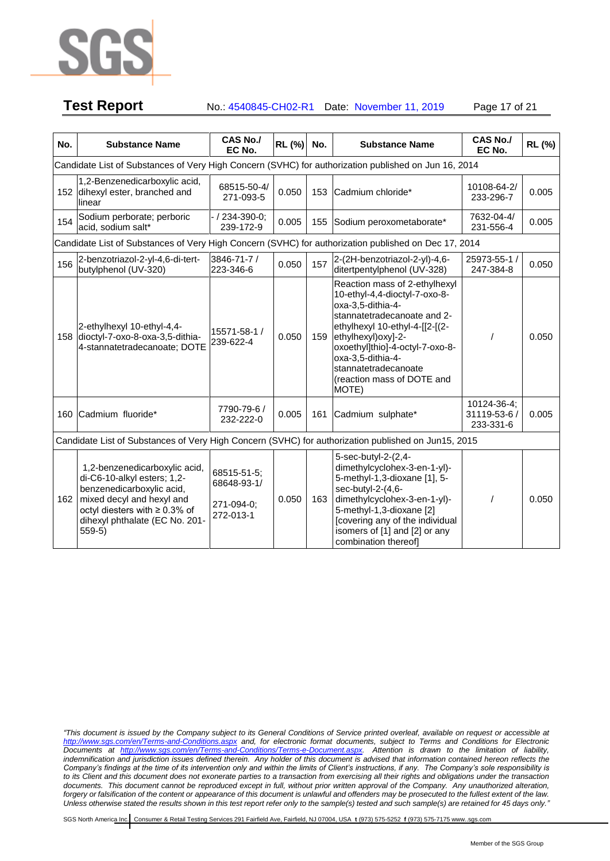

**Test Report** No.: 4540845-CH02-R1 Date: November 11, 2019 Page 17 of 21

| No. | <b>Substance Name</b>                                                                                                                                                                                       | <b>CAS No./</b><br>EC No.                             | <b>RL (%)</b> | No. | <b>Substance Name</b>                                                                                                                                                                                                                                                                              | <b>CAS No./</b><br>EC No.                | RL (%) |  |  |  |
|-----|-------------------------------------------------------------------------------------------------------------------------------------------------------------------------------------------------------------|-------------------------------------------------------|---------------|-----|----------------------------------------------------------------------------------------------------------------------------------------------------------------------------------------------------------------------------------------------------------------------------------------------------|------------------------------------------|--------|--|--|--|
|     | Candidate List of Substances of Very High Concern (SVHC) for authorization published on Jun 16, 2014                                                                                                        |                                                       |               |     |                                                                                                                                                                                                                                                                                                    |                                          |        |  |  |  |
|     | 1,2-Benzenedicarboxylic acid,<br>152 dihexyl ester, branched and<br>linear                                                                                                                                  | 68515-50-4/<br>271-093-5                              | 0.050         | 153 | Cadmium chloride*                                                                                                                                                                                                                                                                                  | 10108-64-2/<br>233-296-7                 | 0.005  |  |  |  |
| 154 | Sodium perborate; perboric<br>acid, sodium salt*                                                                                                                                                            | / 234-390-0;<br>239-172-9                             | 0.005         | 155 | Sodium peroxometaborate*                                                                                                                                                                                                                                                                           | 7632-04-4/<br>231-556-4                  | 0.005  |  |  |  |
|     | Candidate List of Substances of Very High Concern (SVHC) for authorization published on Dec 17, 2014                                                                                                        |                                                       |               |     |                                                                                                                                                                                                                                                                                                    |                                          |        |  |  |  |
| 156 | 2-benzotriazol-2-yl-4,6-di-tert-<br>butylphenol (UV-320)                                                                                                                                                    | 3846-71-7 /<br>223-346-6                              | 0.050         | 157 | 2-(2H-benzotriazol-2-yl)-4,6-<br>ditertpentylphenol (UV-328)                                                                                                                                                                                                                                       | 25973-55-1 /<br>247-384-8                | 0.050  |  |  |  |
| 158 | 2-ethylhexyl 10-ethyl-4,4-<br>dioctyl-7-oxo-8-oxa-3,5-dithia-<br>4-stannatetradecanoate; DOTE                                                                                                               | 15571-58-1 /<br>239-622-4                             | 0.050         | 159 | Reaction mass of 2-ethylhexyl<br>10-ethyl-4,4-dioctyl-7-oxo-8-<br>oxa-3,5-dithia-4-<br>stannatetradecanoate and 2-<br>ethylhexyl 10-ethyl-4-[[2-[(2-<br>ethylhexyl) oxy]-2-<br>oxoethyl]thio]-4-octyl-7-oxo-8-<br>oxa-3,5-dithia-4-<br>stannatetradecanoate<br>(reaction mass of DOTE and<br>MOTE) |                                          | 0.050  |  |  |  |
|     | 160 Cadmium fluoride*                                                                                                                                                                                       | 7790-79-6 /<br>232-222-0                              | 0.005         | 161 | Cadmium sulphate*                                                                                                                                                                                                                                                                                  | 10124-36-4;<br>31119-53-6 /<br>233-331-6 | 0.005  |  |  |  |
|     | Candidate List of Substances of Very High Concern (SVHC) for authorization published on Jun15, 2015                                                                                                         |                                                       |               |     |                                                                                                                                                                                                                                                                                                    |                                          |        |  |  |  |
| 162 | 1,2-benzenedicarboxylic acid,<br>di-C6-10-alkyl esters; 1,2-<br>benzenedicarboxylic acid,<br>mixed decyl and hexyl and<br>octyl diesters with $\geq 0.3\%$ of<br>dihexyl phthalate (EC No. 201-<br>$559-5)$ | 68515-51-5;<br>68648-93-1/<br>271-094-0;<br>272-013-1 | 0.050         | 163 | 5-sec-butyl-2-(2,4-<br>dimethylcyclohex-3-en-1-yl)-<br>5-methyl-1,3-dioxane [1], 5-<br>sec-butyl-2-(4,6-<br>dimethylcyclohex-3-en-1-yl)-<br>5-methyl-1,3-dioxane [2]<br>[covering any of the individual<br>isomers of [1] and [2] or any<br>combination thereof]                                   |                                          | 0.050  |  |  |  |

*<sup>&</sup>quot;This document is issued by the Company subject to its General Conditions of Service printed overleaf, available on request or accessible at <http://www.sgs.com/en/Terms-and-Conditions.aspx> and, for electronic format documents, subject to Terms and Conditions for Electronic Documents at [http://www.sgs.com/en/Terms-and-Conditions/Terms-e-Document.aspx.](http://www.sgs.com/en/Terms-and-Conditions/Terms-e-Document.aspx) Attention is drawn to the limitation of liability,*  indemnification and jurisdiction issues defined therein. Any holder of this document is advised that information contained hereon reflects the *Company's findings at the time of its intervention only and within the limits of Client's instructions, if any. The Company's sole responsibility is to its Client and this document does not exonerate parties to a transaction from exercising all their rights and obligations under the transaction documents. This document cannot be reproduced except in full, without prior written approval of the Company. Any unauthorized alteration, forgery or falsification of the content or appearance of this document is unlawful and offenders may be prosecuted to the fullest extent of the law. Unless otherwise stated the results shown in this test report refer only to the sample(s) tested and such sample(s) are retained for 45 days only."*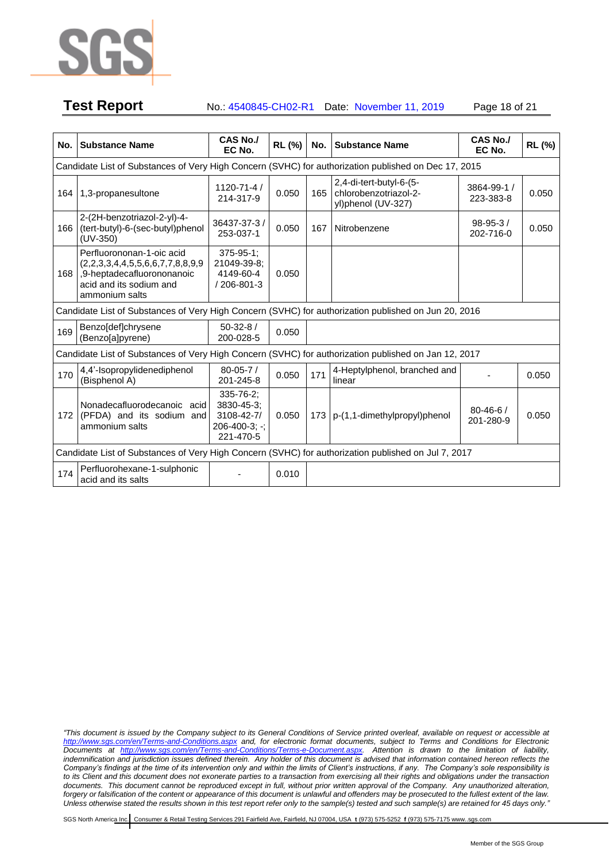

# **Test Report** No.: 4540845-CH02-R1 Date: November 11, 2019 Page 18 of 21

**No. Substance Name CAS No./ EC No. RL (%) No. Substance Name CAS No./ EC No. RL (%)** Candidate List of Substances of Very High Concern (SVHC) for authorization published on Dec 17, 2015 164 1,3-propanesultone 1120-71-4 214-317-9 0.050 165 2,4-di-tert-butyl-6-(5 chlorobenzotriazol-2 yl)phenol (UV-327) 3864-99-1 / 223-383-8 0.050 166 (tert-butyl)-6-(sec-butyl)phenol 2-(2H-benzotriazol-2-yl)-4- (UV-350) 36437-37-3 / 253-037-1 0.050 167 Nitrobenzene 98-95-3 / 202-716-0 0.050 168 Perfluorononan-1-oic acid (2,2,3,3,4,4,5,5,6,6,7,7,8,8,9,9 ,9-heptadecafluorononanoic acid and its sodium and ammonium salts 375-95-1; 21049-39-8; 4149-60-4 / 206-801-3 0.050 Candidate List of Substances of Very High Concern (SVHC) for authorization published on Jun 20, 2016 169 Benzo[def]chrysene (Benzo[a]pyrene) 50-32-8 / 200-028-5 0.050 Candidate List of Substances of Very High Concern (SVHC) for authorization published on Jan 12, 2017 170 4,4'-Isopropylidenediphenol (Bisphenol A) 80-05-7 / 201-245-8 0.050 171 4-Heptylphenol, branched and <br>
linear decay of the distribution of the distribution of the distribution of the distribution of the distribution of the distribution of the distribution of the distribution of the d 172 (PFDA) and its sodium and Nonadecafluorodecanoic acid ammonium salts 335-76-2; 3830-45-3; 3108-42-7/ 206-400-3; -; 221-470-5 0.050 <sup>173</sup> p-(1,1-dimethylpropyl)phenol 80-46-6 / 201-280-9 0.050 Candidate List of Substances of Very High Concern (SVHC) for authorization published on Jul 7, 2017 174 Perfluorohexane-1-sulphonic Perindoronexane-1-sulphoriic<br>acid and its salts

*"This document is issued by the Company subject to its General Conditions of Service printed overleaf, available on request or accessible at <http://www.sgs.com/en/Terms-and-Conditions.aspx> and, for electronic format documents, subject to Terms and Conditions for Electronic Documents at [http://www.sgs.com/en/Terms-and-Conditions/Terms-e-Document.aspx.](http://www.sgs.com/en/Terms-and-Conditions/Terms-e-Document.aspx) Attention is drawn to the limitation of liability,*  indemnification and jurisdiction issues defined therein. Any holder of this document is advised that information contained hereon reflects the *Company's findings at the time of its intervention only and within the limits of Client's instructions, if any. The Company's sole responsibility is to its Client and this document does not exonerate parties to a transaction from exercising all their rights and obligations under the transaction documents. This document cannot be reproduced except in full, without prior written approval of the Company. Any unauthorized alteration, forgery or falsification of the content or appearance of this document is unlawful and offenders may be prosecuted to the fullest extent of the law. Unless otherwise stated the results shown in this test report refer only to the sample(s) tested and such sample(s) are retained for 45 days only."*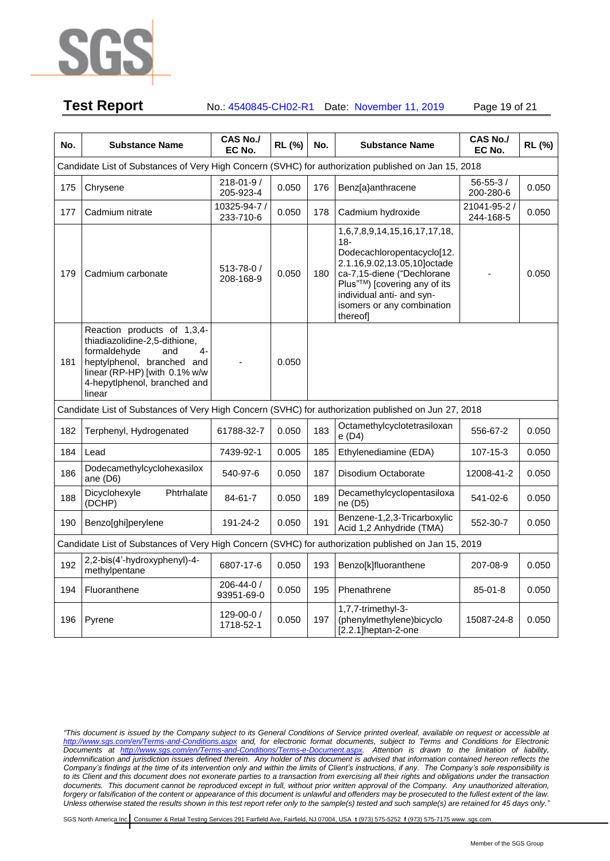

**Test Report** No.: 4540845-CH02-R1 Date: November 11, 2019 Page 19 of 21

| No. | <b>Substance Name</b>                                                                                                                                                                                | <b>CAS No./</b><br>EC No.     | RL (%) | No. | <b>Substance Name</b>                                                                                                                                                                                                                    | <b>CAS No./</b><br>EC No.   | RL (%) |  |  |
|-----|------------------------------------------------------------------------------------------------------------------------------------------------------------------------------------------------------|-------------------------------|--------|-----|------------------------------------------------------------------------------------------------------------------------------------------------------------------------------------------------------------------------------------------|-----------------------------|--------|--|--|
|     | Candidate List of Substances of Very High Concern (SVHC) for authorization published on Jan 15, 2018                                                                                                 |                               |        |     |                                                                                                                                                                                                                                          |                             |        |  |  |
| 175 | Chrysene                                                                                                                                                                                             | $218 - 01 - 9/$<br>205-923-4  | 0.050  | 176 | Benz[a}anthracene                                                                                                                                                                                                                        | $56 - 55 - 3/$<br>200-280-6 | 0.050  |  |  |
| 177 | Cadmium nitrate                                                                                                                                                                                      | 10325-94-7 /<br>233-710-6     | 0.050  | 178 | Cadmium hydroxide                                                                                                                                                                                                                        | 21041-95-2 /<br>244-168-5   | 0.050  |  |  |
| 179 | Cadmium carbonate                                                                                                                                                                                    | $513 - 78 - 0/$<br>208-168-9  | 0.050  | 180 | 1,6,7,8,9,14,15,16,17,17,18,<br>$18 -$<br>Dodecachloropentacyclo[12.<br>2.1.16,9.02,13.05,10]octade<br>ca-7,15-diene ("Dechlorane<br>Plus"™) [covering any of its<br>individual anti- and syn-<br>isomers or any combination<br>thereofl |                             | 0.050  |  |  |
| 181 | Reaction products of 1,3,4-<br>thiadiazolidine-2,5-dithione,<br>formaldehyde<br>$4-$<br>and<br>heptylphenol, branched and<br>linear (RP-HP) [with 0.1% w/w<br>4-hepytlphenol, branched and<br>linear |                               | 0.050  |     |                                                                                                                                                                                                                                          |                             |        |  |  |
|     | Candidate List of Substances of Very High Concern (SVHC) for authorization published on Jun 27, 2018                                                                                                 |                               |        |     |                                                                                                                                                                                                                                          |                             |        |  |  |
| 182 | Terphenyl, Hydrogenated                                                                                                                                                                              | 61788-32-7                    | 0.050  | 183 | Octamethylcyclotetrasiloxan<br>e (D4)                                                                                                                                                                                                    | 556-67-2                    | 0.050  |  |  |
| 184 | Lead                                                                                                                                                                                                 | 7439-92-1                     | 0.005  | 185 | Ethylenediamine (EDA)                                                                                                                                                                                                                    | 107-15-3                    | 0.050  |  |  |
| 186 | Dodecamethylcyclohexasilox<br>ane (D6)                                                                                                                                                               | 540-97-6                      | 0.050  | 187 | Disodium Octaborate                                                                                                                                                                                                                      | 12008-41-2                  | 0.050  |  |  |
| 188 | Phtrhalate<br>Dicyclohexyle<br>(DCHP)                                                                                                                                                                | 84-61-7                       | 0.050  | 189 | Decamethylcyclopentasiloxa<br>ne (D5)                                                                                                                                                                                                    | 541-02-6                    | 0.050  |  |  |
| 190 | Benzo[ghi]perylene                                                                                                                                                                                   | 191-24-2                      | 0.050  | 191 | Benzene-1,2,3-Tricarboxylic<br>Acid 1,2 Anhydride (TMA)                                                                                                                                                                                  | 552-30-7                    | 0.050  |  |  |
|     | Candidate List of Substances of Very High Concern (SVHC) for authorization published on Jan 15, 2019                                                                                                 |                               |        |     |                                                                                                                                                                                                                                          |                             |        |  |  |
| 192 | 2,2-bis(4'-hydroxyphenyl)-4-<br>methylpentane                                                                                                                                                        | 6807-17-6                     | 0.050  | 193 | Benzo[k]fluoranthene                                                                                                                                                                                                                     | 207-08-9                    | 0.050  |  |  |
| 194 | Fluoranthene                                                                                                                                                                                         | 206-44-0 /<br>93951-69-0      | 0.050  | 195 | Phenathrene                                                                                                                                                                                                                              | $85 - 01 - 8$               | 0.050  |  |  |
| 196 | Pyrene                                                                                                                                                                                               | $129 - 00 - 0 /$<br>1718-52-1 | 0.050  | 197 | 1,7,7-trimethyl-3-<br>(phenylmethylene)bicyclo<br>[2.2.1]heptan-2-one                                                                                                                                                                    | 15087-24-8                  | 0.050  |  |  |

*"This document is issued by the Company subject to its General Conditions of Service printed overleaf, available on request or accessible at <http://www.sgs.com/en/Terms-and-Conditions.aspx> and, for electronic format documents, subject to Terms and Conditions for Electronic Documents at [http://www.sgs.com/en/Terms-and-Conditions/Terms-e-Document.aspx.](http://www.sgs.com/en/Terms-and-Conditions/Terms-e-Document.aspx) Attention is drawn to the limitation of liability,*  indemnification and jurisdiction issues defined therein. Any holder of this document is advised that information contained hereon reflects the *Company's findings at the time of its intervention only and within the limits of Client's instructions, if any. The Company's sole responsibility is to its Client and this document does not exonerate parties to a transaction from exercising all their rights and obligations under the transaction documents. This document cannot be reproduced except in full, without prior written approval of the Company. Any unauthorized alteration, forgery or falsification of the content or appearance of this document is unlawful and offenders may be prosecuted to the fullest extent of the law. Unless otherwise stated the results shown in this test report refer only to the sample(s) tested and such sample(s) are retained for 45 days only."*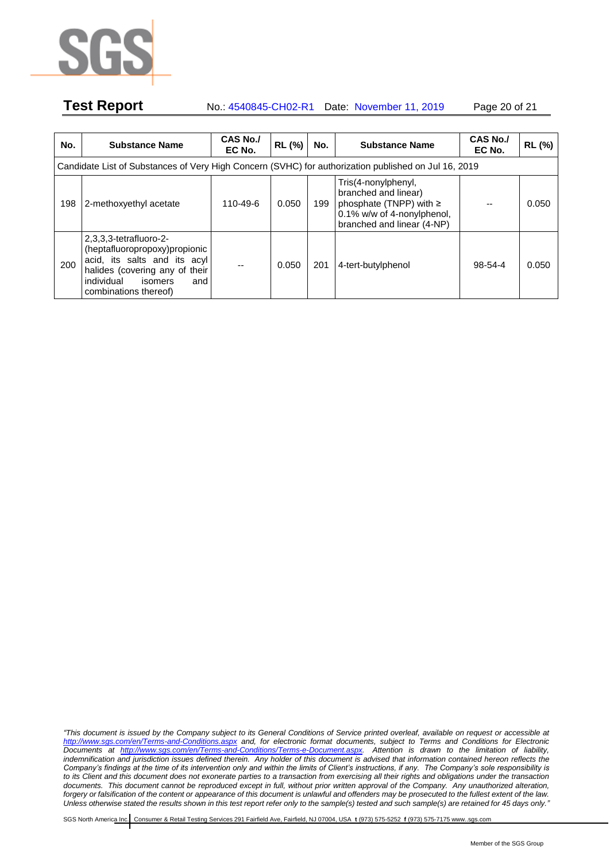

# **Test Report** No.: 4540845-CH02-R1 Date: November 11, 2019 Page 20 of 21

| No. | <b>Substance Name</b>                                                                                                                                                                 | <b>CAS No./</b><br>EC No. | RL (%) | No. | <b>Substance Name</b>                                                                                                                  | CAS No./<br>EC No. | RL (%) |  |  |  |  |
|-----|---------------------------------------------------------------------------------------------------------------------------------------------------------------------------------------|---------------------------|--------|-----|----------------------------------------------------------------------------------------------------------------------------------------|--------------------|--------|--|--|--|--|
|     | Candidate List of Substances of Very High Concern (SVHC) for authorization published on Jul 16, 2019                                                                                  |                           |        |     |                                                                                                                                        |                    |        |  |  |  |  |
| 198 | 2-methoxyethyl acetate                                                                                                                                                                | 110-49-6                  | 0.050  | 199 | Tris(4-nonylphenyl,<br>branched and linear)<br>phosphate (TNPP) with $\ge$<br>0.1% w/w of 4-nonylphenol,<br>branched and linear (4-NP) |                    | 0.050  |  |  |  |  |
| 200 | $2,3,3,3$ -tetrafluoro-2-<br>(heptafluoropropoxy)propionic<br>acid, its salts and its acyl<br>halides (covering any of their<br>individual<br>isomers<br>and<br>combinations thereof) |                           | 0.050  | 201 | 4-tert-butylphenol                                                                                                                     | 98-54-4            | 0.050  |  |  |  |  |

*"This document is issued by the Company subject to its General Conditions of Service printed overleaf, available on request or accessible at <http://www.sgs.com/en/Terms-and-Conditions.aspx> and, for electronic format documents, subject to Terms and Conditions for Electronic Documents at [http://www.sgs.com/en/Terms-and-Conditions/Terms-e-Document.aspx.](http://www.sgs.com/en/Terms-and-Conditions/Terms-e-Document.aspx) Attention is drawn to the limitation of liability,*  indemnification and jurisdiction issues defined therein. Any holder of this document is advised that information contained hereon reflects the *Company's findings at the time of its intervention only and within the limits of Client's instructions, if any. The Company's sole responsibility is to its Client and this document does not exonerate parties to a transaction from exercising all their rights and obligations under the transaction documents. This document cannot be reproduced except in full, without prior written approval of the Company. Any unauthorized alteration, forgery or falsification of the content or appearance of this document is unlawful and offenders may be prosecuted to the fullest extent of the law. Unless otherwise stated the results shown in this test report refer only to the sample(s) tested and such sample(s) are retained for 45 days only."*